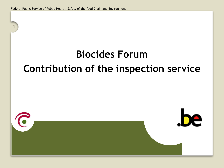**1**

# **Biocides Forum Contribution of the inspection service**

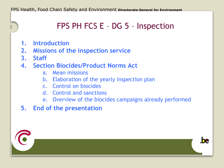## **<sup>2</sup>** FPS PH FCS E – DG 5 – Inspection

- **1. Introduction**
- **2. Missions of the inspection service**
- **3. Staff**
- **4. Section Biocides/Product Norms Act**
	- a. Mean missions
	- b. Elaboration of the yearly inspection plan
	- c. Control on biocides
	- d. Control and sanctions
	- e. Overview of the biocides campaigns already performed
- **5. End of the presentation**



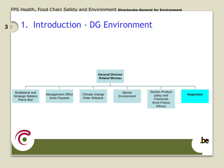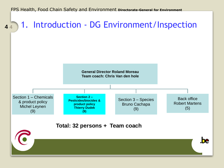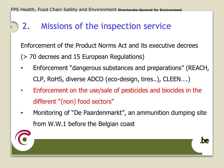## **<sup>5</sup>** 2. Missions of the inspection service

Enforcement of the Product Norms Act and its executive decrees (> 70 decrees and 15 European Regulations)

- Enforcement "dangerous substances and preparations" (REACH, CLP, RoHS, diverse ADCO (eco-design, tires..), CLEEN….)
- Enforcement on the use/sale of pesticides and biocides in the different "(non) food sectors"
- Monitoring of "De Paardenmarkt", an ammunition dumping site from W.W.1 before the Belgian coast

he.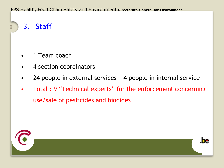**<sup>6</sup>** 3. Staff

- 1 Team coach
- 4 section coordinators
- 24 people in external services + 4 people in internal service
- Total : 9 "Technical experts" for the enforcement concerning use/sale of pesticides and biocides



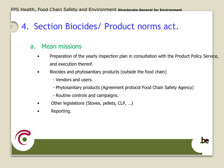# **<sup>7</sup>** 4. Section Biocides/ Product norms act.

#### a. Mean missions

- Preparation of the yearly inspection plan in consultation with the Product Policy Service, and execution thereof.
- Biocides and phytosanitary products (outside the food chain)
	- Vendors and users.
	- Phytosanitary products (Agreement protocol Food Chain Safety Agency)
	- Routine controls and campaigns.
- Other legislations (Stoves, pellets, CLP, …)
- Reporting.



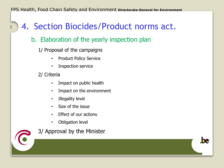# **<sup>8</sup>** 4. Section Biocides/Product norms act.

#### b. Elaboration of the yearly inspection plan

1/ Proposal of the campaigns

- Product Policy Service
- Inspection service
- 2/ Criteria
	- Impact on public health
	- Impact on the environment
	- Illegality level
	- Size of the issue
	- Effect of our actions
	- Obligation level



3/ Approval by the Minister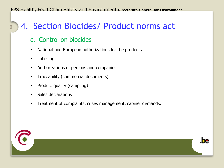#### **9** 4. Section Biocides/ Product norms act

#### c. Control on biocides

- National and European authorizations for the products
- Labelling
- Authorizations of persons and companies
- Traceability (commercial documents)
- Product quality (sampling)
- Sales declarations
- Treatment of complaints, crises management, cabinet demands.



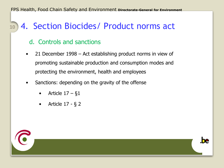#### **10** 4. Section Biocides/ Product norms act

#### d. Controls and sanctions

- 21 December 1998 Act establishing product norms in view of promoting sustainable production and consumption modes and protecting the environment, health and employees
- Sanctions: depending on the gravity of the offense
	- Article  $17 81$
	- Article 17 § 2



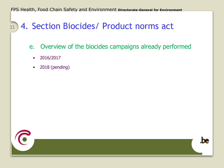# **<sup>11</sup>** 4. Section Biocides/ Product norms act

- e. Overview of the biocides campaigns already performed
	- 2016/2017
	- 2018 (pending)

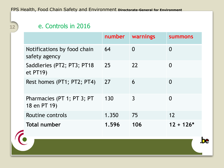### e. Controls in 2016

|                                              | number | warnings | <b>summons</b> |
|----------------------------------------------|--------|----------|----------------|
| Notifications by food chain<br>safety agency | 64     | $\Omega$ | 0              |
| Saddleries (PT2; PT3; PT18<br>et PT19        | 25     | 22       | 0              |
| Rest homes (PT1; PT2; PT4)                   | 27     | 6        | $\Omega$       |
| Pharmacies (PT 1; PT 3; PT<br>18 en PT 19)   | 130    | 3        | 0              |
| Routine controls                             | 1.350  | 75       | 12             |
| <b>Total number</b>                          | 1.596  | 106      | $12 + 126*$    |

.be



**12**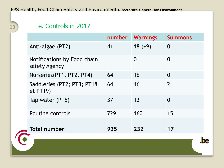#### e. Controls in 2017

**13**

|                                              | number | <b>Warnings</b> | <b>Summons</b> |
|----------------------------------------------|--------|-----------------|----------------|
| Anti-algae (PT2)                             | 41     | $18 (+9)$       | $\overline{0}$ |
| Notifications by Food chain<br>safety Agency |        | $\Omega$        | $\Omega$       |
| Nurseries (PT1, PT2, PT4)                    | 64     | 16              | $\Omega$       |
| Saddleries (PT2; PT3; PT18<br>et PT19)       | 64     | 16              | $\overline{2}$ |
| Tap water (PT5)                              | 37     | 13              | $\Omega$       |
| Routine controls                             | 729    | 160             | 15             |
| <b>Total number</b>                          | 935    | 232             | 17             |

.be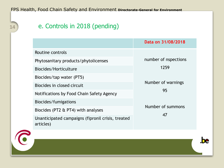### 14 e. Controls in 2018 (pending)

|                                                                | Data on 31/08/2018      |  |
|----------------------------------------------------------------|-------------------------|--|
| Routine controls                                               |                         |  |
| Phytosanitary products/phytolicenses                           | number of nspections    |  |
| Biocides/Horticulture                                          | 1259                    |  |
| Biocides/tap water (PT5)                                       |                         |  |
| Biocides in closed circuit                                     | Number of warnings      |  |
| Notifications by Food Chain Safety Agency                      | 95                      |  |
| Biocides/fumigations                                           |                         |  |
| Biocides (PT2 & PT4) with analyses                             | Number of summons<br>47 |  |
| Unanticipated campaigns (fipronil crisis, treated<br>articles) |                         |  |

.be